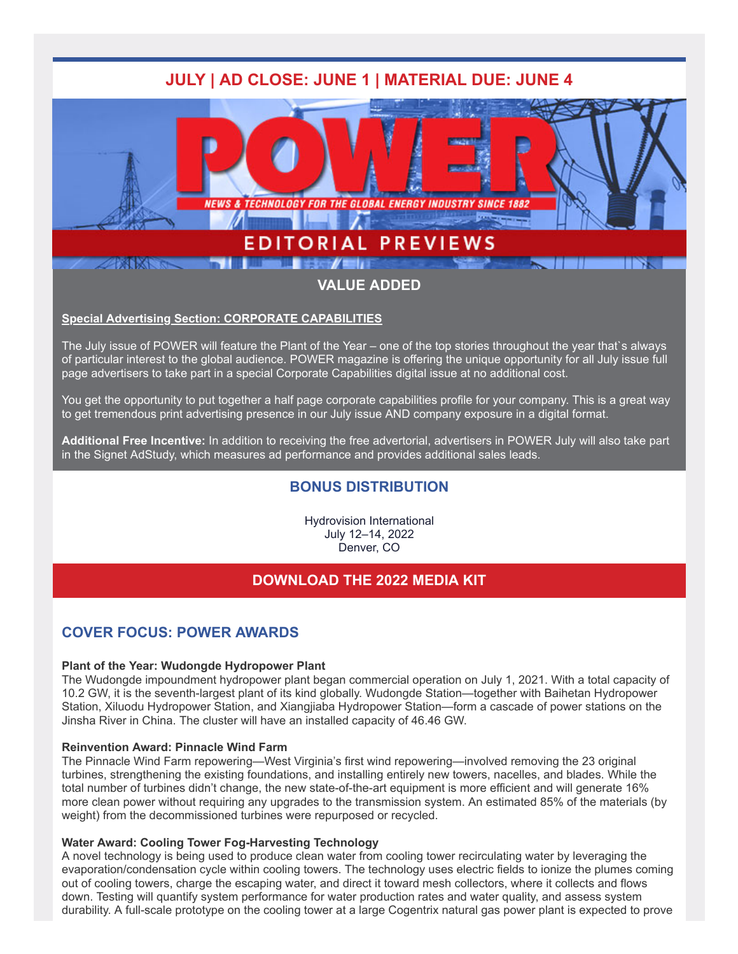

## **VALUE ADDED**

### **[Special Advertising Section: CORPORATE CAPABILITIES](https://ai.omeclk.com/portal/wts/ucmcmsbzzcmbbE4AycyBoAed%7CD4hmVbvrHPT-7eH~4b)**

The July issue of POWER will feature the Plant of the Year – one of the top stories throughout the year that`s always of particular interest to the global audience. POWER magazine is offering the unique opportunity for all July issue full page advertisers to take part in a special Corporate Capabilities digital issue at no additional cost.

You get the opportunity to put together a half page corporate capabilities profile for your company. This is a great way to get tremendous print advertising presence in our July issue AND company exposure in a digital format.

**Additional Free Incentive:** In addition to receiving the free advertorial, advertisers in POWER July will also take part in the Signet AdStudy, which measures ad performance and provides additional sales leads.

### **BONUS DISTRIBUTION**

Hydrovision International July 12–14, 2022 Denver, CO

### **[DOWNLOAD THE 2022 MEDIA KIT](https://ai.omeclk.com/portal/wts/ucmcmsbzzcmbbE4AycyBoAmd%7CD4hmVbvrHPT-7eH~4b)**

### **COVER FOCUS: POWER AWARDS**

#### **Plant of the Year: Wudongde Hydropower Plant**

The Wudongde impoundment hydropower plant began commercial operation on July 1, 2021. With a total capacity of 10.2 GW, it is the seventh-largest plant of its kind globally. Wudongde Station—together with Baihetan Hydropower Station, Xiluodu Hydropower Station, and Xiangjiaba Hydropower Station—form a cascade of power stations on the Jinsha River in China. The cluster will have an installed capacity of 46.46 GW.

#### **Reinvention Award: Pinnacle Wind Farm**

The Pinnacle Wind Farm repowering—West Virginia's first wind repowering—involved removing the 23 original turbines, strengthening the existing foundations, and installing entirely new towers, nacelles, and blades. While the total number of turbines didn't change, the new state-of-the-art equipment is more efficient and will generate 16% more clean power without requiring any upgrades to the transmission system. An estimated 85% of the materials (by weight) from the decommissioned turbines were repurposed or recycled.

### **Water Award: Cooling Tower Fog-Harvesting Technology**

A novel technology is being used to produce clean water from cooling tower recirculating water by leveraging the evaporation/condensation cycle within cooling towers. The technology uses electric fields to ionize the plumes coming out of cooling towers, charge the escaping water, and direct it toward mesh collectors, where it collects and flows down. Testing will quantify system performance for water production rates and water quality, and assess system durability. A full-scale prototype on the cooling tower at a large Cogentrix natural gas power plant is expected to prove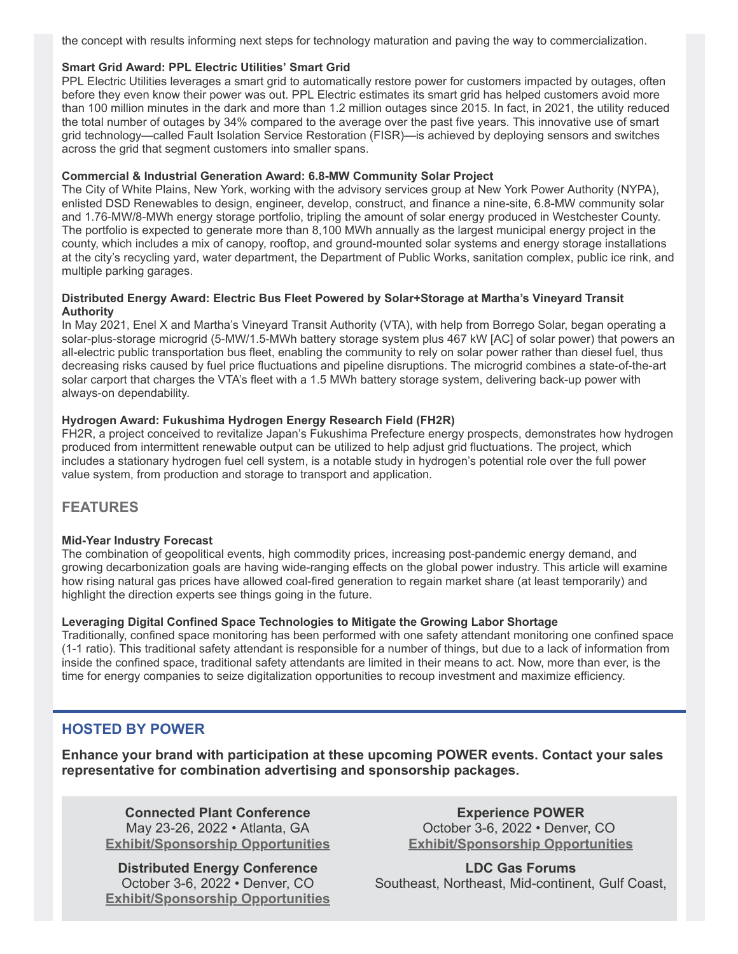the concept with results informing next steps for technology maturation and paving the way to commercialization.

### **Smart Grid Award: PPL Electric Utilities' Smart Grid**

PPL Electric Utilities leverages a smart grid to automatically restore power for customers impacted by outages, often before they even know their power was out. PPL Electric estimates its smart grid has helped customers avoid more than 100 million minutes in the dark and more than 1.2 million outages since 2015. In fact, in 2021, the utility reduced the total number of outages by 34% compared to the average over the past five years. This innovative use of smart grid technology—called Fault Isolation Service Restoration (FISR)—is achieved by deploying sensors and switches across the grid that segment customers into smaller spans.

### **Commercial & Industrial Generation Award: 6.8-MW Community Solar Project**

The City of White Plains, New York, working with the advisory services group at New York Power Authority (NYPA), enlisted DSD Renewables to design, engineer, develop, construct, and finance a nine-site, 6.8-MW community solar and 1.76-MW/8-MWh energy storage portfolio, tripling the amount of solar energy produced in Westchester County. The portfolio is expected to generate more than 8,100 MWh annually as the largest municipal energy project in the county, which includes a mix of canopy, rooftop, and ground-mounted solar systems and energy storage installations at the city's recycling yard, water department, the Department of Public Works, sanitation complex, public ice rink, and multiple parking garages.

### **Distributed Energy Award: Electric Bus Fleet Powered by Solar+Storage at Martha's Vineyard Transit Authority**

In May 2021, Enel X and Martha's Vineyard Transit Authority (VTA), with help from Borrego Solar, began operating a solar-plus-storage microgrid (5-MW/1.5-MWh battery storage system plus 467 kW [AC] of solar power) that powers an all-electric public transportation bus fleet, enabling the community to rely on solar power rather than diesel fuel, thus decreasing risks caused by fuel price fluctuations and pipeline disruptions. The microgrid combines a state-of-the-art solar carport that charges the VTA's fleet with a 1.5 MWh battery storage system, delivering back-up power with always-on dependability.

### **Hydrogen Award: Fukushima Hydrogen Energy Research Field (FH2R)**

FH2R, a project conceived to revitalize Japan's Fukushima Prefecture energy prospects, demonstrates how hydrogen produced from intermittent renewable output can be utilized to help adjust grid fluctuations. The project, which includes a stationary hydrogen fuel cell system, is a notable study in hydrogen's potential role over the full power value system, from production and storage to transport and application.

### **FEATURES**

### **Mid-Year Industry Forecast**

The combination of geopolitical events, high commodity prices, increasing post-pandemic energy demand, and growing decarbonization goals are having wide-ranging effects on the global power industry. This article will examine how rising natural gas prices have allowed coal-fired generation to regain market share (at least temporarily) and highlight the direction experts see things going in the future.

### **Leveraging Digital Confined Space Technologies to Mitigate the Growing Labor Shortage**

Traditionally, confined space monitoring has been performed with one safety attendant monitoring one confined space (1-1 ratio). This traditional safety attendant is responsible for a number of things, but due to a lack of information from inside the confined space, traditional safety attendants are limited in their means to act. Now, more than ever, is the time for energy companies to seize digitalization opportunities to recoup investment and maximize efficiency.

### **HOSTED BY POWER**

**Enhance your brand with participation at these upcoming POWER events. Contact your sales representative for combination advertising and sponsorship packages.**

**Connected Plant Conference** May 23-26, 2022 • Atlanta, GA **[Exhibit/Sponsorship Opportunities](https://ai.omeclk.com/portal/wts/ucmcmsbzzcmbbE4AycyBoAqd%7CD4hmVbvrHPT-7eH~4b)**

**Distributed Energy Conference** October 3-6, 2022 • Denver, CO **[Exhibit/Sponsorship Opportunities](https://ai.omeclk.com/portal/wts/ucmcmsbzzcmbbE4AycyBoAyd%7CD4hmVbvrHPT-7eH~4b)**

**Experience POWER** October 3-6, 2022 • Denver, CO **[Exhibit/Sponsorship Opportunities](https://ai.omeclk.com/portal/wts/ugmcmsbzzcmbbE4AycyBoA%5Ed%7CD4hmVa)**

**LDC Gas Forums** Southeast, Northeast, Mid-continent, Gulf Coast,